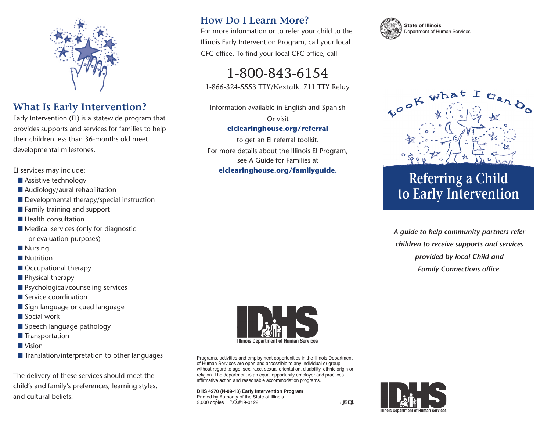

## **What Is Early Intervention?**

Early Intervention (EI) is a statewide program that provides supports and services for families to help their children less than 36-months old meet developmental milestones.

EI services may include:

- Assistive technology
- Audiology/aural rehabilitation
- Developmental therapy/special instruction
- Family training and support
- Health consultation
- Medical services (only for diagnostic or evaluation purposes)
- Nursing
- Nutrition
- Occupational therapy
- Physical therapy
- Psychological/counseling services
- Service coordination
- Sign language or cued language
- Social work
- Speech language pathology
- Transportation
- Vision
- Translation/interpretation to other languages

The delivery of these services should meet the child's and family's preferences, learning styles, and cultural beliefs.

## **How Do I Learn More?**

For more information or to refer your child to the Illinois Early Intervention Program, call your local CFC office. To find your local CFC office, call

1-800-843-6154 1-866-324-5553 TTY/Nextalk, 711 TTY Relay

Information available in English and Spanish Or visit

### **eiclearinghouse.org/referral**

to get an EI referral toolkit. For more details about the Illinois EI Program, see A Guide for Families at **eiclearinghouse.org/familyguide.**





# **Referring a Child to Early Intervention**

*A guide to help community partners refer children to receive supports and services provided by local Child and Family Connections office.*



Programs, activities and employment opportunities in the Illinois Department of Human Services are open and accessible to any individual or group without regard to age, sex, race, sexual orientation, disability, ethnic origin or religion. The department is an equal opportunity employer and practices affirmative action and reasonable accommodation programs.

#### **DHS 4270 (N-09-18) Early Intervention Program** Printed by Authority of the State of Illinois 2,000 copies P.O.#19-0122



(ioc)